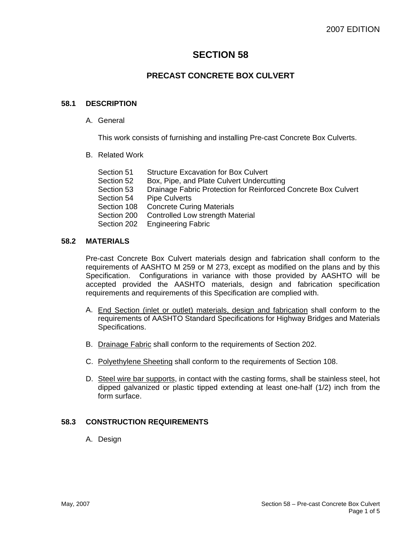# **SECTION 58**

## **PRECAST CONCRETE BOX CULVERT**

### **58.1 DESCRIPTION**

A. General

This work consists of furnishing and installing Pre-cast Concrete Box Culverts.

B. Related Work

| Section 51  | <b>Structure Excavation for Box Culvert</b>                    |
|-------------|----------------------------------------------------------------|
| Section 52  | Box, Pipe, and Plate Culvert Undercutting                      |
| Section 53  | Drainage Fabric Protection for Reinforced Concrete Box Culvert |
| Section 54  | <b>Pipe Culverts</b>                                           |
| Section 108 | <b>Concrete Curing Materials</b>                               |
| Section 200 | Controlled Low strength Material                               |
|             | Section 202 Engineering Fabric                                 |

#### **58.2 MATERIALS**

Pre-cast Concrete Box Culvert materials design and fabrication shall conform to the requirements of AASHTO M 259 or M 273, except as modified on the plans and by this Specification. Configurations in variance with those provided by AASHTO will be accepted provided the AASHTO materials, design and fabrication specification requirements and requirements of this Specification are complied with.

- A. End Section (inlet or outlet) materials, design and fabrication shall conform to the requirements of AASHTO Standard Specifications for Highway Bridges and Materials Specifications.
- B. Drainage Fabric shall conform to the requirements of Section 202.
- C. Polyethylene Sheeting shall conform to the requirements of Section 108.
- D. Steel wire bar supports, in contact with the casting forms, shall be stainless steel, hot dipped galvanized or plastic tipped extending at least one-half (1/2) inch from the form surface.

#### **58.3 CONSTRUCTION REQUIREMENTS**

A. Design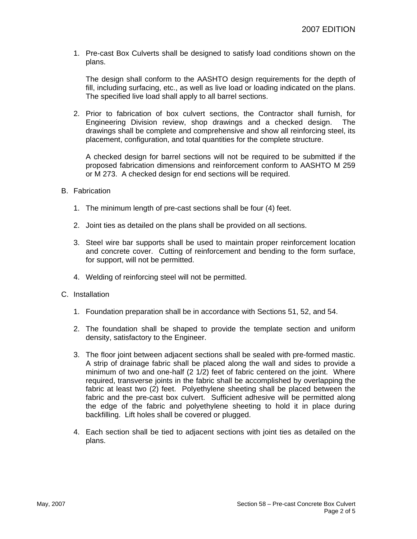1. Pre-cast Box Culverts shall be designed to satisfy load conditions shown on the plans.

The design shall conform to the AASHTO design requirements for the depth of fill, including surfacing, etc., as well as live load or loading indicated on the plans. The specified live load shall apply to all barrel sections.

2. Prior to fabrication of box culvert sections, the Contractor shall furnish, for Engineering Division review, shop drawings and a checked design. The drawings shall be complete and comprehensive and show all reinforcing steel, its placement, configuration, and total quantities for the complete structure.

A checked design for barrel sections will not be required to be submitted if the proposed fabrication dimensions and reinforcement conform to AASHTO M 259 or M 273. A checked design for end sections will be required.

#### B. Fabrication

- 1. The minimum length of pre-cast sections shall be four (4) feet.
- 2. Joint ties as detailed on the plans shall be provided on all sections.
- 3. Steel wire bar supports shall be used to maintain proper reinforcement location and concrete cover. Cutting of reinforcement and bending to the form surface, for support, will not be permitted.
- 4. Welding of reinforcing steel will not be permitted.
- C. Installation
	- 1. Foundation preparation shall be in accordance with Sections 51, 52, and 54.
	- 2. The foundation shall be shaped to provide the template section and uniform density, satisfactory to the Engineer.
	- 3. The floor joint between adjacent sections shall be sealed with pre-formed mastic. A strip of drainage fabric shall be placed along the wall and sides to provide a minimum of two and one-half (2 1/2) feet of fabric centered on the joint. Where required, transverse joints in the fabric shall be accomplished by overlapping the fabric at least two (2) feet. Polyethylene sheeting shall be placed between the fabric and the pre-cast box culvert. Sufficient adhesive will be permitted along the edge of the fabric and polyethylene sheeting to hold it in place during backfilling. Lift holes shall be covered or plugged.
	- 4. Each section shall be tied to adjacent sections with joint ties as detailed on the plans.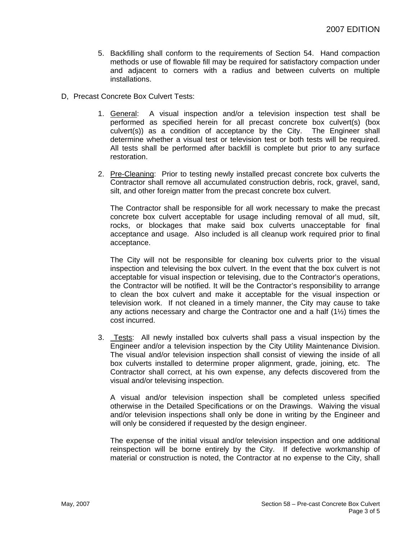- 5. Backfilling shall conform to the requirements of Section 54. Hand compaction methods or use of flowable fill may be required for satisfactory compaction under and adjacent to corners with a radius and between culverts on multiple installations.
- D, Precast Concrete Box Culvert Tests:
	- 1. General: A visual inspection and/or a television inspection test shall be performed as specified herein for all precast concrete box culvert(s) (box culvert(s)) as a condition of acceptance by the City. The Engineer shall determine whether a visual test or television test or both tests will be required. All tests shall be performed after backfill is complete but prior to any surface restoration.
	- 2. Pre-Cleaning: Prior to testing newly installed precast concrete box culverts the Contractor shall remove all accumulated construction debris, rock, gravel, sand, silt, and other foreign matter from the precast concrete box culvert.

The Contractor shall be responsible for all work necessary to make the precast concrete box culvert acceptable for usage including removal of all mud, silt, rocks, or blockages that make said box culverts unacceptable for final acceptance and usage. Also included is all cleanup work required prior to final acceptance.

The City will not be responsible for cleaning box culverts prior to the visual inspection and televising the box culvert. In the event that the box culvert is not acceptable for visual inspection or televising, due to the Contractor's operations, the Contractor will be notified. It will be the Contractor's responsibility to arrange to clean the box culvert and make it acceptable for the visual inspection or television work. If not cleaned in a timely manner, the City may cause to take any actions necessary and charge the Contractor one and a half (1½) times the cost incurred.

3. Tests: All newly installed box culverts shall pass a visual inspection by the Engineer and/or a television inspection by the City Utility Maintenance Division. The visual and/or television inspection shall consist of viewing the inside of all box culverts installed to determine proper alignment, grade, joining, etc. The Contractor shall correct, at his own expense, any defects discovered from the visual and/or televising inspection.

A visual and/or television inspection shall be completed unless specified otherwise in the Detailed Specifications or on the Drawings. Waiving the visual and/or television inspections shall only be done in writing by the Engineer and will only be considered if requested by the design engineer.

The expense of the initial visual and/or television inspection and one additional reinspection will be borne entirely by the City. If defective workmanship of material or construction is noted, the Contractor at no expense to the City, shall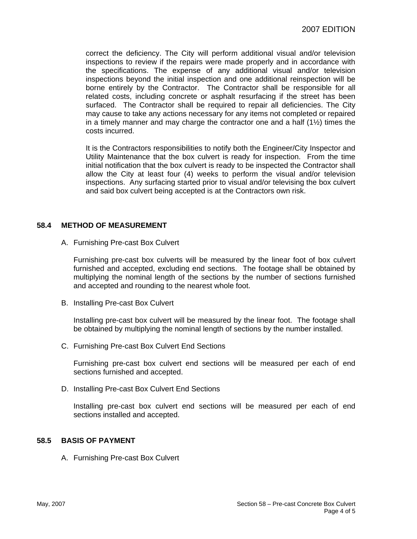correct the deficiency. The City will perform additional visual and/or television inspections to review if the repairs were made properly and in accordance with the specifications. The expense of any additional visual and/or television inspections beyond the initial inspection and one additional reinspection will be borne entirely by the Contractor. The Contractor shall be responsible for all related costs, including concrete or asphalt resurfacing if the street has been surfaced. The Contractor shall be required to repair all deficiencies. The City may cause to take any actions necessary for any items not completed or repaired in a timely manner and may charge the contractor one and a half  $(1\frac{1}{2})$  times the costs incurred.

It is the Contractors responsibilities to notify both the Engineer/City Inspector and Utility Maintenance that the box culvert is ready for inspection. From the time initial notification that the box culvert is ready to be inspected the Contractor shall allow the City at least four (4) weeks to perform the visual and/or television inspections. Any surfacing started prior to visual and/or televising the box culvert and said box culvert being accepted is at the Contractors own risk.

#### **58.4 METHOD OF MEASUREMENT**

A. Furnishing Pre-cast Box Culvert

Furnishing pre-cast box culverts will be measured by the linear foot of box culvert furnished and accepted, excluding end sections. The footage shall be obtained by multiplying the nominal length of the sections by the number of sections furnished and accepted and rounding to the nearest whole foot.

B. Installing Pre-cast Box Culvert

Installing pre-cast box culvert will be measured by the linear foot. The footage shall be obtained by multiplying the nominal length of sections by the number installed.

C. Furnishing Pre-cast Box Culvert End Sections

Furnishing pre-cast box culvert end sections will be measured per each of end sections furnished and accepted.

D. Installing Pre-cast Box Culvert End Sections

Installing pre-cast box culvert end sections will be measured per each of end sections installed and accepted.

#### **58.5 BASIS OF PAYMENT**

A. Furnishing Pre-cast Box Culvert